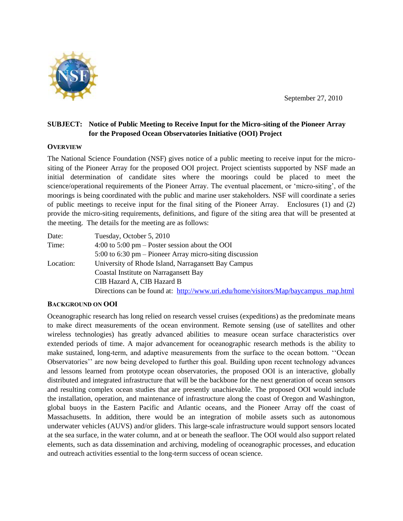

# **SUBJECT: Notice of Public Meeting to Receive Input for the Micro-siting of the Pioneer Array for the Proposed Ocean Observatories Initiative (OOI) Project**

## **OVERVIEW**

The National Science Foundation (NSF) gives notice of a public meeting to receive input for the micrositing of the Pioneer Array for the proposed OOI project. Project scientists supported by NSF made an initial determination of candidate sites where the moorings could be placed to meet the science/operational requirements of the Pioneer Array. The eventual placement, or "micro-siting", of the moorings is being coordinated with the public and marine user stakeholders. NSF will coordinate a series of public meetings to receive input for the final siting of the Pioneer Array. Enclosures (1) and (2) provide the micro-siting requirements, definitions, and figure of the siting area that will be presented at the meeting. The details for the meeting are as follows:

| Date:     | Tuesday, October 5, 2010                                                            |
|-----------|-------------------------------------------------------------------------------------|
| Time:     | $4:00$ to $5:00$ pm – Poster session about the OOI                                  |
|           | $5:00$ to $6:30$ pm – Pioneer Array micro-siting discussion                         |
| Location: | University of Rhode Island, Narragansett Bay Campus                                 |
|           | Coastal Institute on Narragansett Bay                                               |
|           | CIB Hazard A, CIB Hazard B                                                          |
|           | Directions can be found at: http://www.uri.edu/home/visitors/Map/baycampus map.html |

#### **BACKGROUND ON OOI**

Oceanographic research has long relied on research vessel cruises (expeditions) as the predominate means to make direct measurements of the ocean environment. Remote sensing (use of satellites and other wireless technologies) has greatly advanced abilities to measure ocean surface characteristics over extended periods of time. A major advancement for oceanographic research methods is the ability to make sustained, long-term, and adaptive measurements from the surface to the ocean bottom. ""Ocean Observatories" are now being developed to further this goal. Building upon recent technology advances and lessons learned from prototype ocean observatories, the proposed OOI is an interactive, globally distributed and integrated infrastructure that will be the backbone for the next generation of ocean sensors and resulting complex ocean studies that are presently unachievable. The proposed OOI would include the installation, operation, and maintenance of infrastructure along the coast of Oregon and Washington, global buoys in the Eastern Pacific and Atlantic oceans, and the Pioneer Array off the coast of Massachusetts. In addition, there would be an integration of mobile assets such as autonomous underwater vehicles (AUVS) and/or gliders. This large-scale infrastructure would support sensors located at the sea surface, in the water column, and at or beneath the seafloor. The OOI would also support related elements, such as data dissemination and archiving, modeling of oceanographic processes, and education and outreach activities essential to the long-term success of ocean science.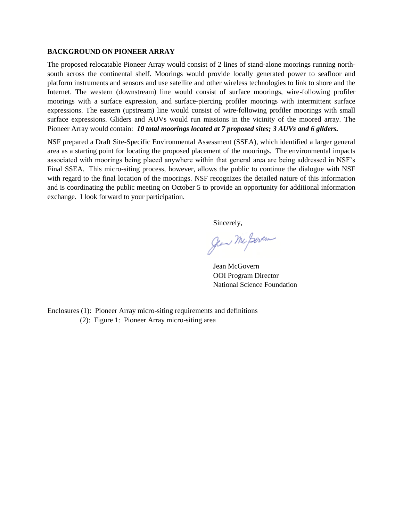#### **BACKGROUND ON PIONEER ARRAY**

The proposed relocatable Pioneer Array would consist of 2 lines of stand-alone moorings running northsouth across the continental shelf. Moorings would provide locally generated power to seafloor and platform instruments and sensors and use satellite and other wireless technologies to link to shore and the Internet. The western (downstream) line would consist of surface moorings, wire-following profiler moorings with a surface expression, and surface-piercing profiler moorings with intermittent surface expressions. The eastern (upstream) line would consist of wire-following profiler moorings with small surface expressions. Gliders and AUVs would run missions in the vicinity of the moored array. The Pioneer Array would contain: *10 total moorings located at 7 proposed sites; 3 AUVs and 6 gliders.*

NSF prepared a Draft Site-Specific Environmental Assessment (SSEA), which identified a larger general area as a starting point for locating the proposed placement of the moorings. The environmental impacts associated with moorings being placed anywhere within that general area are being addressed in NSF"s Final SSEA. This micro-siting process, however, allows the public to continue the dialogue with NSF with regard to the final location of the moorings. NSF recognizes the detailed nature of this information and is coordinating the public meeting on October 5 to provide an opportunity for additional information exchange. I look forward to your participation.

Sincerely,

Jean Mc Boven

Jean McGovern OOI Program Director National Science Foundation

Enclosures (1): Pioneer Array micro-siting requirements and definitions (2): Figure 1: Pioneer Array micro-siting area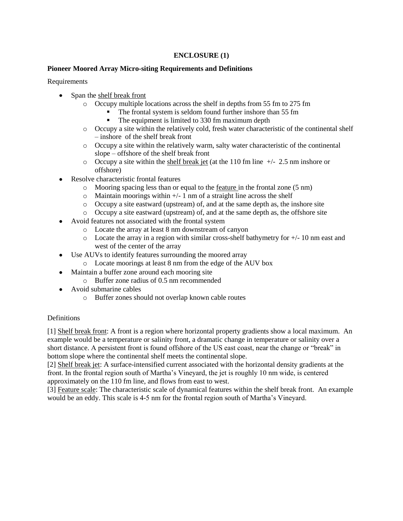## **ENCLOSURE (1)**

## **Pioneer Moored Array Micro-siting Requirements and Definitions**

**Requirements** 

- Span the shelf break front
	- o Occupy multiple locations across the shelf in depths from 55 fm to 275 fm
		- The frontal system is seldom found further inshore than 55 fm
		- The equipment is limited to 330 fm maximum depth
	- o Occupy a site within the relatively cold, fresh water characteristic of the continental shelf – inshore of the shelf break front
	- o Occupy a site within the relatively warm, salty water characteristic of the continental slope – offshore of the shelf break front
	- $\circ$  Occupy a site within the shelf break jet (at the 110 fm line  $+/- 2.5$  nm inshore or offshore)
- Resolve characteristic frontal features
	- o Mooring spacing less than or equal to the feature in the frontal zone (5 nm)
	- $\circ$  Maintain moorings within  $+/- 1$  nm of a straight line across the shelf
	- o Occupy a site eastward (upstream) of, and at the same depth as, the inshore site
	- o Occupy a site eastward (upstream) of, and at the same depth as, the offshore site
- Avoid features not associated with the frontal system
	- o Locate the array at least 8 nm downstream of canyon
	- $\circ$  Locate the array in a region with similar cross-shelf bathymetry for  $+/-10$  nm east and west of the center of the array
- Use AUVs to identify features surrounding the moored array  $\bullet$ 
	- o Locate moorings at least 8 nm from the edge of the AUV box
- Maintain a buffer zone around each mooring site  $\bullet$ 
	- $\circ$  Buffer zone radius of 0.5 nm recommended
- Avoid submarine cables
	- o Buffer zones should not overlap known cable routes

# **Definitions**

[1] Shelf break front: A front is a region where horizontal property gradients show a local maximum. An example would be a temperature or salinity front, a dramatic change in temperature or salinity over a short distance. A persistent front is found offshore of the US east coast, near the change or "break" in bottom slope where the continental shelf meets the continental slope.

[2] Shelf break jet: A surface-intensified current associated with the horizontal density gradients at the front. In the frontal region south of Martha"s Vineyard, the jet is roughly 10 nm wide, is centered approximately on the 110 fm line, and flows from east to west.

[3] Feature scale: The characteristic scale of dynamical features within the shelf break front. An example would be an eddy. This scale is 4-5 nm for the frontal region south of Martha"s Vineyard.